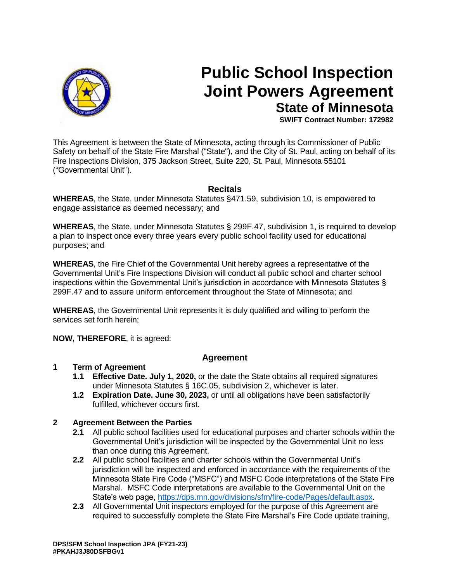

# **Public School Inspection Joint Powers Agreement State of Minnesota**

**SWIFT Contract Number: 172982**

This Agreement is between the State of Minnesota, acting through its Commissioner of Public Safety on behalf of the State Fire Marshal ("State"), and the City of St. Paul, acting on behalf of its Fire Inspections Division, 375 Jackson Street, Suite 220, St. Paul, Minnesota 55101 ("Governmental Unit").

# **Recitals**

**WHEREAS**, the State, under Minnesota Statutes §471.59, subdivision 10, is empowered to engage assistance as deemed necessary; and

**WHEREAS**, the State, under Minnesota Statutes § 299F.47, subdivision 1, is required to develop a plan to inspect once every three years every public school facility used for educational purposes; and

**WHEREAS**, the Fire Chief of the Governmental Unit hereby agrees a representative of the Governmental Unit's Fire Inspections Division will conduct all public school and charter school inspections within the Governmental Unit's jurisdiction in accordance with Minnesota Statutes § 299F.47 and to assure uniform enforcement throughout the State of Minnesota; and

**WHEREAS**, the Governmental Unit represents it is duly qualified and willing to perform the services set forth herein;

**NOW, THEREFORE**, it is agreed:

## **Agreement**

## **1 Term of Agreement**

- **1.1 Effective Date. July 1, 2020,** or the date the State obtains all required signatures under Minnesota Statutes § 16C.05, subdivision 2, whichever is later.
- **1.2 Expiration Date. June 30, 2023,** or until all obligations have been satisfactorily fulfilled, whichever occurs first.

## **2 Agreement Between the Parties**

- **2.1** All public school facilities used for educational purposes and charter schools within the Governmental Unit's jurisdiction will be inspected by the Governmental Unit no less than once during this Agreement.
- **2.2** All public school facilities and charter schools within the Governmental Unit's jurisdiction will be inspected and enforced in accordance with the requirements of the Minnesota State Fire Code ("MSFC") and MSFC Code interpretations of the State Fire Marshal. MSFC Code interpretations are available to the Governmental Unit on the State's web page, [https://dps.mn.gov/divisions/sfm/fire-code/Pages/default.aspx.](https://dps.mn.gov/divisions/sfm/fire-code/Pages/default.aspx)
- **2.3** All Governmental Unit inspectors employed for the purpose of this Agreement are required to successfully complete the State Fire Marshal's Fire Code update training,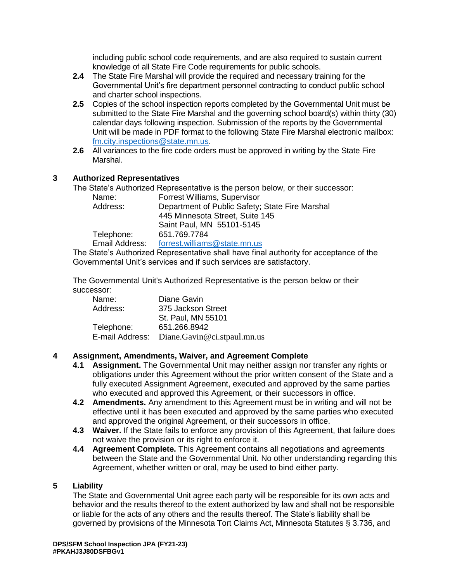including public school code requirements, and are also required to sustain current knowledge of all State Fire Code requirements for public schools.

- **2.4** The State Fire Marshal will provide the required and necessary training for the Governmental Unit's fire department personnel contracting to conduct public school and charter school inspections.
- **2.5** Copies of the school inspection reports completed by the Governmental Unit must be submitted to the State Fire Marshal and the governing school board(s) within thirty (30) calendar days following inspection. Submission of the reports by the Governmental Unit will be made in PDF format to the following State Fire Marshal electronic mailbox: [fm.city.inspections@state.mn.us.](mailto:fm.city.inspections@state.mn.us)
- **2.6** All variances to the fire code orders must be approved in writing by the State Fire Marshal.

# **3 Authorized Representatives**

The State's Authorized Representative is the person below, or their successor:

| Name:          | Forrest Williams, Supervisor                    |
|----------------|-------------------------------------------------|
| Address:       | Department of Public Safety; State Fire Marshal |
|                | 445 Minnesota Street, Suite 145                 |
|                | Saint Paul, MN 55101-5145                       |
| Telephone:     | 651.769.7784                                    |
| Email Address: | forrest.williams@state.mn.us                    |
|                |                                                 |

The State's Authorized Representative shall have final authority for acceptance of the Governmental Unit's services and if such services are satisfactory.

The Governmental Unit's Authorized Representative is the person below or their successor:

| Name:      | Diane Gavin                                 |
|------------|---------------------------------------------|
| Address:   | 375 Jackson Street                          |
|            | St. Paul, MN 55101                          |
| Telephone: | 651.266.8942                                |
|            | E-mail Address: Diane.Gavin@ci.stpaul.mn.us |

# **4 Assignment, Amendments, Waiver, and Agreement Complete**

- **4.1 Assignment.** The Governmental Unit may neither assign nor transfer any rights or obligations under this Agreement without the prior written consent of the State and a fully executed Assignment Agreement, executed and approved by the same parties who executed and approved this Agreement, or their successors in office.
- **4.2 Amendments.** Any amendment to this Agreement must be in writing and will not be effective until it has been executed and approved by the same parties who executed and approved the original Agreement, or their successors in office.
- **4.3 Waiver.** If the State fails to enforce any provision of this Agreement, that failure does not waive the provision or its right to enforce it.
- **4.4 Agreement Complete.** This Agreement contains all negotiations and agreements between the State and the Governmental Unit. No other understanding regarding this Agreement, whether written or oral, may be used to bind either party.

## **5 Liability**

The State and Governmental Unit agree each party will be responsible for its own acts and behavior and the results thereof to the extent authorized by law and shall not be responsible or liable for the acts of any others and the results thereof. The State's liability shall be governed by provisions of the Minnesota Tort Claims Act, Minnesota Statutes § 3.736, and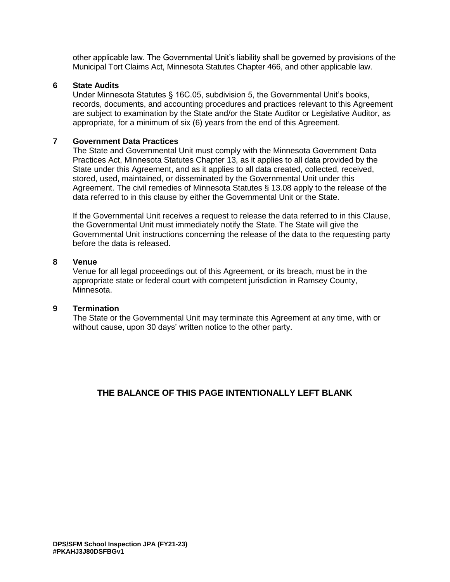other applicable law. The Governmental Unit's liability shall be governed by provisions of the Municipal Tort Claims Act, Minnesota Statutes Chapter 466, and other applicable law.

#### **6 State Audits**

Under Minnesota Statutes § 16C.05, subdivision 5, the Governmental Unit's books, records, documents, and accounting procedures and practices relevant to this Agreement are subject to examination by the State and/or the State Auditor or Legislative Auditor, as appropriate, for a minimum of six (6) years from the end of this Agreement.

#### **7 Government Data Practices**

The State and Governmental Unit must comply with the Minnesota Government Data Practices Act, Minnesota Statutes Chapter 13, as it applies to all data provided by the State under this Agreement, and as it applies to all data created, collected, received, stored, used, maintained, or disseminated by the Governmental Unit under this Agreement. The civil remedies of Minnesota Statutes § 13.08 apply to the release of the data referred to in this clause by either the Governmental Unit or the State.

If the Governmental Unit receives a request to release the data referred to in this Clause, the Governmental Unit must immediately notify the State. The State will give the Governmental Unit instructions concerning the release of the data to the requesting party before the data is released.

#### **8 Venue**

Venue for all legal proceedings out of this Agreement, or its breach, must be in the appropriate state or federal court with competent jurisdiction in Ramsey County, Minnesota.

#### **9 Termination**

The State or the Governmental Unit may terminate this Agreement at any time, with or without cause, upon 30 days' written notice to the other party.

## **THE BALANCE OF THIS PAGE INTENTIONALLY LEFT BLANK**